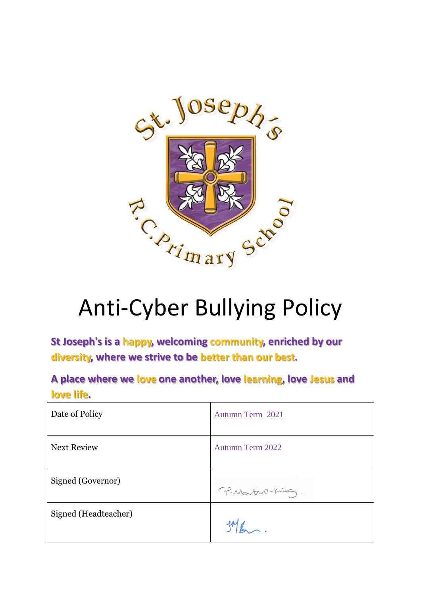

# Anti-Cyber Bullying Policy

**St Joseph's is a happy, welcoming community, enriched by our diversity, where we strive to be better than our best.**

**A place where we love one another, love learning, love Jesus and love life.**

| Date of Policy       | Autumn Term 2021        |
|----------------------|-------------------------|
| <b>Next Review</b>   | <b>Autumn Term 2022</b> |
| Signed (Governor)    | P. Martin-King.         |
| Signed (Headteacher) |                         |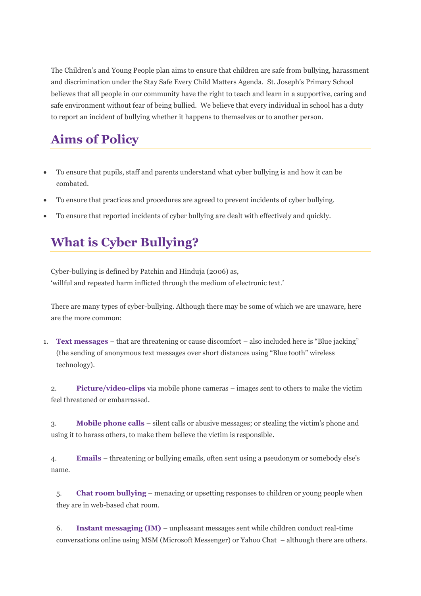The Children's and Young People plan aims to ensure that children are safe from bullying, harassment and discrimination under the Stay Safe Every Child Matters Agenda. St. Joseph's Primary School believes that all people in our community have the right to teach and learn in a supportive, caring and safe environment without fear of being bullied. We believe that every individual in school has a duty to report an incident of bullying whether it happens to themselves or to another person.

## **Aims of Policy**

- To ensure that pupils, staff and parents understand what cyber bullying is and how it can be combated.
- To ensure that practices and procedures are agreed to prevent incidents of cyber bullying.
- To ensure that reported incidents of cyber bullying are dealt with effectively and quickly.

### **What is Cyber Bullying?**

Cyber-bullying is defined by Patchin and Hinduja (2006) as, 'willful and repeated harm inflicted through the medium of electronic text.'

There are many types of cyber-bullying. Although there may be some of which we are unaware, here are the more common:

1. **Text messages** – that are threatening or cause discomfort – also included here is "Blue jacking" (the sending of anonymous text messages over short distances using "Blue tooth" wireless technology).

2. **Picture/video-clips** via mobile phone cameras – images sent to others to make the victim feel threatened or embarrassed.

3. **Mobile phone calls** – silent calls or abusive messages; or stealing the victim's phone and using it to harass others, to make them believe the victim is responsible.

4. **Emails** – threatening or bullying emails, often sent using a pseudonym or somebody else's name.

5. **Chat room bullying** – menacing or upsetting responses to children or young people when they are in web-based chat room.

6. **Instant messaging (IM)** – unpleasant messages sent while children conduct real-time conversations online using MSM (Microsoft Messenger) or Yahoo Chat – although there are others.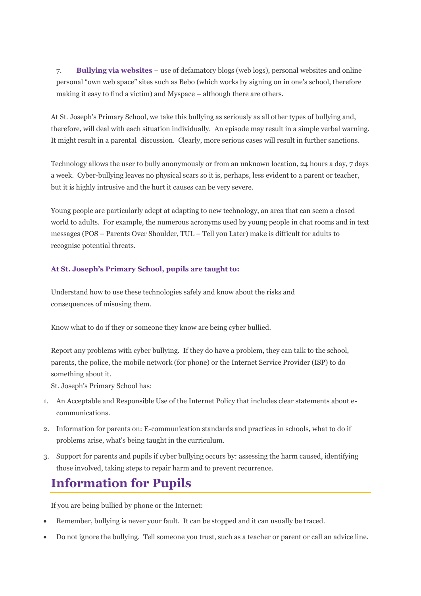7. **Bullying via websites** – use of defamatory blogs (web logs), personal websites and online personal "own web space" sites such as Bebo (which works by signing on in one's school, therefore making it easy to find a victim) and Myspace – although there are others.

At St. Joseph's Primary School, we take this bullying as seriously as all other types of bullying and, therefore, will deal with each situation individually. An episode may result in a simple verbal warning. It might result in a parental discussion. Clearly, more serious cases will result in further sanctions.

Technology allows the user to bully anonymously or from an unknown location, 24 hours a day, 7 days a week. Cyber-bullying leaves no physical scars so it is, perhaps, less evident to a parent or teacher, but it is highly intrusive and the hurt it causes can be very severe.

Young people are particularly adept at adapting to new technology, an area that can seem a closed world to adults. For example, the numerous acronyms used by young people in chat rooms and in text messages (POS – Parents Over Shoulder, TUL – Tell you Later) make is difficult for adults to recognise potential threats.

#### **At St. Joseph's Primary School, pupils are taught to:**

Understand how to use these technologies safely and know about the risks and consequences of misusing them.

Know what to do if they or someone they know are being cyber bullied.

Report any problems with cyber bullying. If they do have a problem, they can talk to the school, parents, the police, the mobile network (for phone) or the Internet Service Provider (ISP) to do something about it.

St. Joseph's Primary School has:

- 1. An Acceptable and Responsible Use of the Internet Policy that includes clear statements about ecommunications.
- 2. Information for parents on: E-communication standards and practices in schools, what to do if problems arise, what's being taught in the curriculum.
- 3. Support for parents and pupils if cyber bullying occurs by: assessing the harm caused, identifying those involved, taking steps to repair harm and to prevent recurrence.

#### **Information for Pupils**

If you are being bullied by phone or the Internet:

- Remember, bullying is never your fault. It can be stopped and it can usually be traced.
- Do not ignore the bullying. Tell someone you trust, such as a teacher or parent or call an advice line.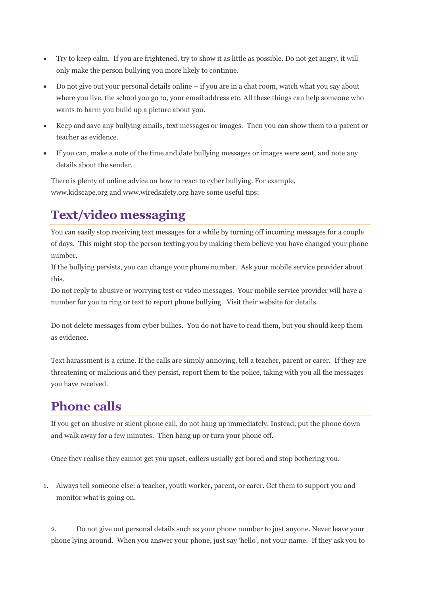- Try to keep calm. If you are frightened, try to show it as little as possible. Do not get angry, it will only make the person bullying you more likely to continue.
- Do not give out your personal details online if you are in a chat room, watch what you say about where you live, the school you go to, your email address etc. All these things can help someone who wants to harm you build up a picture about you.
- Keep and save any bullying emails, text messages or images. Then you can show them to a parent or teacher as evidence.
- If you can, make a note of the time and date bullying messages or images were sent, and note any details about the sender.

There is plenty of online advice on how to react to cyber bullying. For example, www.kidscape.org and www.wiredsafety.org have some useful tips:

# **Text/video messaging**

You can easily stop receiving text messages for a while by turning off incoming messages for a couple of days. This might stop the person texting you by making them believe you have changed your phone number.

If the bullying persists, you can change your phone number. Ask your mobile service provider about this.

Do not reply to abusive or worrying test or video messages. Your mobile service provider will have a number for you to ring or text to report phone bullying. Visit their website for details.

Do not delete messages from cyber bullies. You do not have to read them, but you should keep them as evidence.

Text harassment is a crime. If the calls are simply annoying, tell a teacher, parent or carer. If they are threatening or malicious and they persist, report them to the police, taking with you all the messages you have received.

# **Phone calls**

If you get an abusive or silent phone call, do not hang up immediately. Instead, put the phone down and walk away for a few minutes. Then hang up or turn your phone off.

Once they realise they cannot get you upset, callers usually get bored and stop bothering you.

1. Always tell someone else: a teacher, youth worker, parent, or carer. Get them to support you and monitor what is going on.

2. Do not give out personal details such as your phone number to just anyone. Never leave your phone lying around. When you answer your phone, just say 'hello', not your name. If they ask you to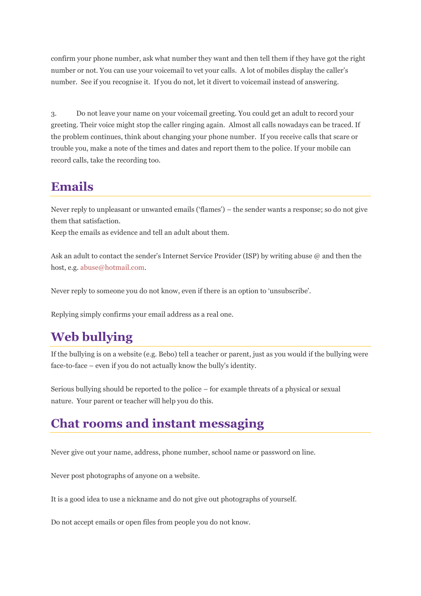confirm your phone number, ask what number they want and then tell them if they have got the right number or not. You can use your voicemail to vet your calls. A lot of mobiles display the caller's number. See if you recognise it. If you do not, let it divert to voicemail instead of answering.

3. Do not leave your name on your voicemail greeting. You could get an adult to record your greeting. Their voice might stop the caller ringing again. Almost all calls nowadays can be traced. If the problem continues, think about changing your phone number. If you receive calls that scare or trouble you, make a note of the times and dates and report them to the police. If your mobile can record calls, take the recording too.

## **Emails**

Never reply to unpleasant or unwanted emails ('flames') – the sender wants a response; so do not give them that satisfaction.

Keep the emails as evidence and tell an adult about them.

Ask an adult to contact the sender's Internet Service Provider (ISP) by writing abuse @ and then the host, e.g. [abuse@hotmail.com.](mailto:abuse@hotmail.com)

Never reply to someone you do not know, even if there is an option to 'unsubscribe'.

Replying simply confirms your email address as a real one.

# **Web bullying**

If the bullying is on a website (e.g. Bebo) tell a teacher or parent, just as you would if the bullying were face-to-face – even if you do not actually know the bully's identity.

Serious bullying should be reported to the police – for example threats of a physical or sexual nature. Your parent or teacher will help you do this.

#### **Chat rooms and instant messaging**

Never give out your name, address, phone number, school name or password on line.

Never post photographs of anyone on a website.

It is a good idea to use a nickname and do not give out photographs of yourself.

Do not accept emails or open files from people you do not know.